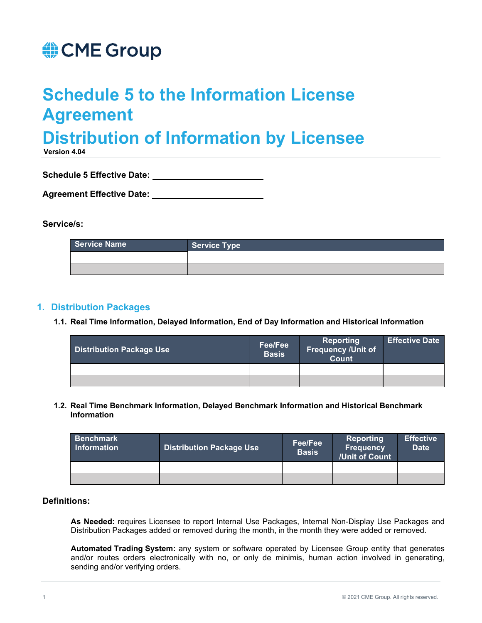# CME Group

# **Schedule 5 to the Information License Agreement**

# **Distribution of Information by Licensee**

**Version 4.04** 

**Schedule 5 Effective Date:** 

| <b>Agreement Effective Date:</b> |  |
|----------------------------------|--|
|                                  |  |

#### **Service/s:**

| Service Name | Service Type |
|--------------|--------------|
|              |              |
|              |              |

## **1. Distribution Packages**

**1.1. Real Time Information, Delayed Information, End of Day Information and Historical Information**

| <b>Distribution Package Use</b> | Fee/Fee<br><b>Basis</b> | <b>Reporting</b><br>Frequency /Unit of<br><b>Count</b> | <b>Effective Date</b> |
|---------------------------------|-------------------------|--------------------------------------------------------|-----------------------|
|                                 |                         |                                                        |                       |
|                                 |                         |                                                        |                       |

**1.2. Real Time Benchmark Information, Delayed Benchmark Information and Historical Benchmark Information**

| <b>Benchmark</b><br><b>Information</b> | <b>Distribution Package Use</b> | Fee/Fee<br><b>Basis</b> | Reporting<br><b>Frequency</b><br>/Unit of Count | <b>Effective</b><br><b>Date</b> |
|----------------------------------------|---------------------------------|-------------------------|-------------------------------------------------|---------------------------------|
|                                        |                                 |                         |                                                 |                                 |
|                                        |                                 |                         |                                                 |                                 |

#### **Definitions:**

**As Needed:** requires Licensee to report Internal Use Packages, Internal Non-Display Use Packages and Distribution Packages added or removed during the month, in the month they were added or removed.

**Automated Trading System:** any system or software operated by Licensee Group entity that generates and/or routes orders electronically with no, or only de minimis, human action involved in generating, sending and/or verifying orders.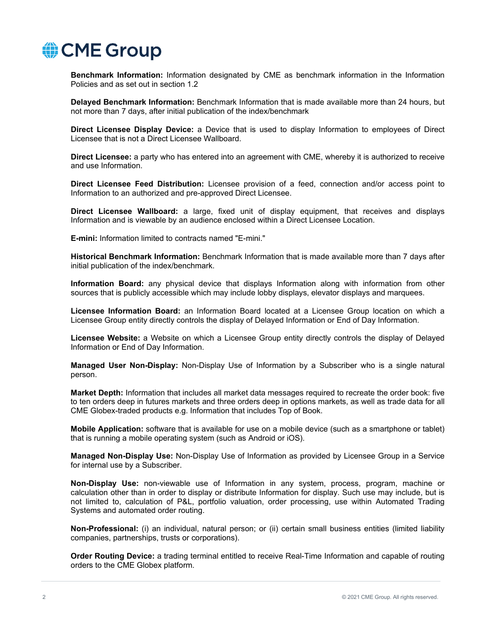

**Benchmark Information:** Information designated by CME as benchmark information in the Information Policies and as set out in section 1.2

**Delayed Benchmark Information:** Benchmark Information that is made available more than 24 hours, but not more than 7 days, after initial publication of the index/benchmark

**Direct Licensee Display Device:** a Device that is used to display Information to employees of Direct Licensee that is not a Direct Licensee Wallboard.

**Direct Licensee:** a party who has entered into an agreement with CME, whereby it is authorized to receive and use Information.

**Direct Licensee Feed Distribution:** Licensee provision of a feed, connection and/or access point to Information to an authorized and pre-approved Direct Licensee.

**Direct Licensee Wallboard:** a large, fixed unit of display equipment, that receives and displays Information and is viewable by an audience enclosed within a Direct Licensee Location.

**E-mini:** Information limited to contracts named "E-mini."

**Historical Benchmark Information:** Benchmark Information that is made available more than 7 days after initial publication of the index/benchmark.

**Information Board:** any physical device that displays Information along with information from other sources that is publicly accessible which may include lobby displays, elevator displays and marquees.

**Licensee Information Board:** an Information Board located at a Licensee Group location on which a Licensee Group entity directly controls the display of Delayed Information or End of Day Information.

**Licensee Website:** a Website on which a Licensee Group entity directly controls the display of Delayed Information or End of Day Information.

**Managed User Non-Display:** Non-Display Use of Information by a Subscriber who is a single natural person.

**Market Depth:** Information that includes all market data messages required to recreate the order book: five to ten orders deep in futures markets and three orders deep in options markets, as well as trade data for all CME Globex-traded products e.g. Information that includes Top of Book.

**Mobile Application:** software that is available for use on a mobile device (such as a smartphone or tablet) that is running a mobile operating system (such as Android or iOS).

**Managed Non-Display Use:** Non-Display Use of Information as provided by Licensee Group in a Service for internal use by a Subscriber.

**Non-Display Use:** non-viewable use of Information in any system, process, program, machine or calculation other than in order to display or distribute Information for display. Such use may include, but is not limited to, calculation of P&L, portfolio valuation, order processing, use within Automated Trading Systems and automated order routing.

**Non-Professional:** (i) an individual, natural person; or (ii) certain small business entities (limited liability companies, partnerships, trusts or corporations).

**Order Routing Device:** a trading terminal entitled to receive Real-Time Information and capable of routing orders to the CME Globex platform.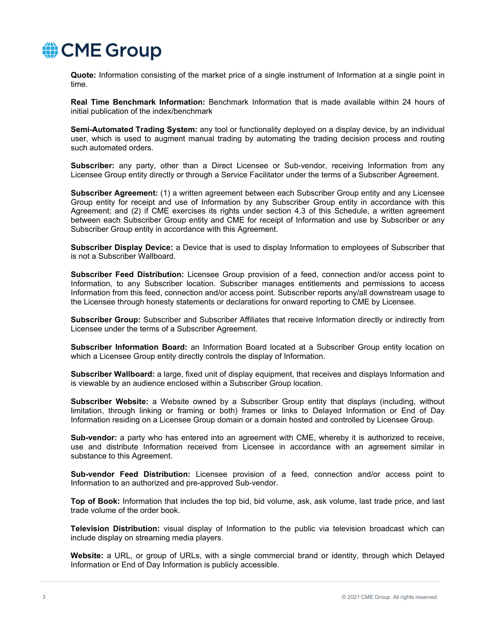

**Quote:** Information consisting of the market price of a single instrument of Information at a single point in time.

**Real Time Benchmark Information:** Benchmark Information that is made available within 24 hours of initial publication of the index/benchmark

**Semi-Automated Trading System:** any tool or functionality deployed on a display device, by an individual user, which is used to augment manual trading by automating the trading decision process and routing such automated orders.

**Subscriber:** any party, other than a Direct Licensee or Sub-vendor, receiving Information from any Licensee Group entity directly or through a Service Facilitator under the terms of a Subscriber Agreement.

**Subscriber Agreement:** (1) a written agreement between each Subscriber Group entity and any Licensee Group entity for receipt and use of Information by any Subscriber Group entity in accordance with this Agreement; and (2) if CME exercises its rights under section 4.3 of this Schedule, a written agreement between each Subscriber Group entity and CME for receipt of Information and use by Subscriber or any Subscriber Group entity in accordance with this Agreement.

**Subscriber Display Device:** a Device that is used to display Information to employees of Subscriber that is not a Subscriber Wallboard.

**Subscriber Feed Distribution:** Licensee Group provision of a feed, connection and/or access point to Information, to any Subscriber location. Subscriber manages entitlements and permissions to access Information from this feed, connection and/or access point. Subscriber reports any/all downstream usage to the Licensee through honesty statements or declarations for onward reporting to CME by Licensee.

**Subscriber Group:** Subscriber and Subscriber Affiliates that receive Information directly or indirectly from Licensee under the terms of a Subscriber Agreement.

**Subscriber Information Board:** an Information Board located at a Subscriber Group entity location on which a Licensee Group entity directly controls the display of Information.

**Subscriber Wallboard:** a large, fixed unit of display equipment, that receives and displays Information and is viewable by an audience enclosed within a Subscriber Group location.

**Subscriber Website:** a Website owned by a Subscriber Group entity that displays (including, without limitation, through linking or framing or both) frames or links to Delayed Information or End of Day Information residing on a Licensee Group domain or a domain hosted and controlled by Licensee Group.

**Sub-vendor:** a party who has entered into an agreement with CME, whereby it is authorized to receive, use and distribute Information received from Licensee in accordance with an agreement similar in substance to this Agreement.

**Sub-vendor Feed Distribution:** Licensee provision of a feed, connection and/or access point to Information to an authorized and pre-approved Sub-vendor.

**Top of Book:** Information that includes the top bid, bid volume, ask, ask volume, last trade price, and last trade volume of the order book.

**Television Distribution:** visual display of Information to the public via television broadcast which can include display on streaming media players.

**Website:** a URL, or group of URLs, with a single commercial brand or identity, through which Delayed Information or End of Day Information is publicly accessible.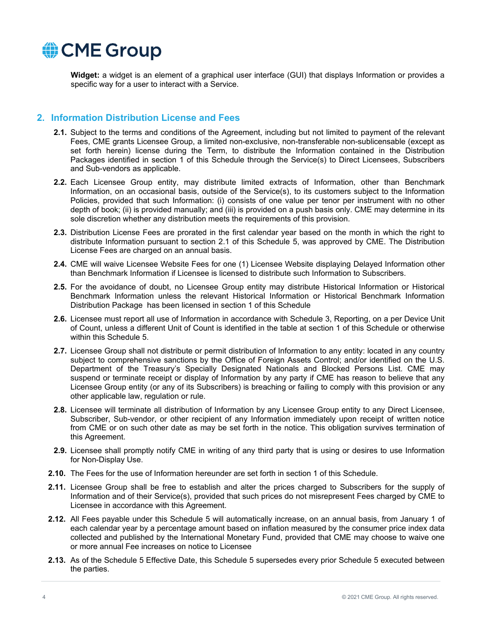

**Widget:** a widget is an element of a graphical user interface (GUI) that displays Information or provides a specific way for a user to interact with a Service.

### **2. Information Distribution License and Fees**

- **2.1.** Subject to the terms and conditions of the Agreement, including but not limited to payment of the relevant Fees, CME grants Licensee Group, a limited non-exclusive, non-transferable non-sublicensable (except as set forth herein) license during the Term, to distribute the Information contained in the Distribution Packages identified in section 1 of this Schedule through the Service(s) to Direct Licensees, Subscribers and Sub-vendors as applicable.
- **2.2.** Each Licensee Group entity, may distribute limited extracts of Information, other than Benchmark Information, on an occasional basis, outside of the Service(s), to its customers subject to the Information Policies, provided that such Information: (i) consists of one value per tenor per instrument with no other depth of book; (ii) is provided manually; and (iii) is provided on a push basis only. CME may determine in its sole discretion whether any distribution meets the requirements of this provision.
- **2.3.** Distribution License Fees are prorated in the first calendar year based on the month in which the right to distribute Information pursuant to section 2.1 of this Schedule 5, was approved by CME. The Distribution License Fees are charged on an annual basis.
- **2.4.** CME will waive Licensee Website Fees for one (1) Licensee Website displaying Delayed Information other than Benchmark Information if Licensee is licensed to distribute such Information to Subscribers.
- **2.5.** For the avoidance of doubt, no Licensee Group entity may distribute Historical Information or Historical Benchmark Information unless the relevant Historical Information or Historical Benchmark Information Distribution Package has been licensed in section 1 of this Schedule
- **2.6.** Licensee must report all use of Information in accordance with Schedule 3, Reporting, on a per Device Unit of Count, unless a different Unit of Count is identified in the table at section 1 of this Schedule or otherwise within this Schedule 5.
- **2.7.** Licensee Group shall not distribute or permit distribution of Information to any entity: located in any country subject to comprehensive sanctions by the Office of Foreign Assets Control; and/or identified on the U.S. Department of the Treasury's Specially Designated Nationals and Blocked Persons List. CME may suspend or terminate receipt or display of Information by any party if CME has reason to believe that any Licensee Group entity (or any of its Subscribers) is breaching or failing to comply with this provision or any other applicable law, regulation or rule.
- **2.8.** Licensee will terminate all distribution of Information by any Licensee Group entity to any Direct Licensee, Subscriber, Sub-vendor, or other recipient of any Information immediately upon receipt of written notice from CME or on such other date as may be set forth in the notice. This obligation survives termination of this Agreement.
- **2.9.** Licensee shall promptly notify CME in writing of any third party that is using or desires to use Information for Non-Display Use.
- **2.10.** The Fees for the use of Information hereunder are set forth in section 1 of this Schedule.
- **2.11.** Licensee Group shall be free to establish and alter the prices charged to Subscribers for the supply of Information and of their Service(s), provided that such prices do not misrepresent Fees charged by CME to Licensee in accordance with this Agreement.
- **2.12.** All Fees payable under this Schedule 5 will automatically increase, on an annual basis, from January 1 of each calendar year by a percentage amount based on inflation measured by the consumer price index data collected and published by the International Monetary Fund, provided that CME may choose to waive one or more annual Fee increases on notice to Licensee
- **2.13.** As of the Schedule 5 Effective Date, this Schedule 5 supersedes every prior Schedule 5 executed between the parties.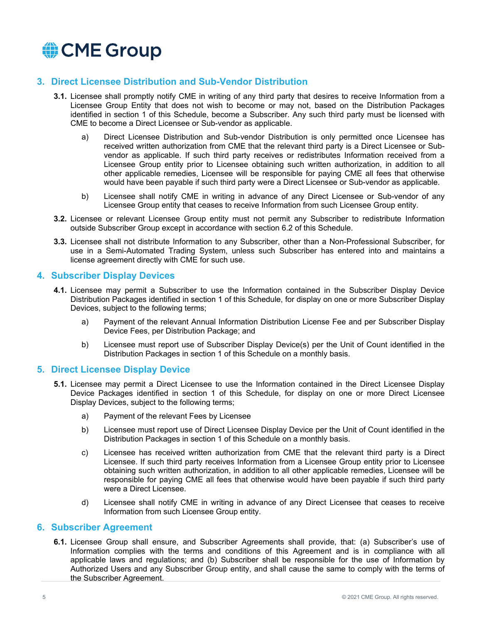

## **3. Direct Licensee Distribution and Sub-Vendor Distribution**

- **3.1.** Licensee shall promptly notify CME in writing of any third party that desires to receive Information from a Licensee Group Entity that does not wish to become or may not, based on the Distribution Packages identified in section 1 of this Schedule, become a Subscriber. Any such third party must be licensed with CME to become a Direct Licensee or Sub-vendor as applicable.
	- a) Direct Licensee Distribution and Sub-vendor Distribution is only permitted once Licensee has received written authorization from CME that the relevant third party is a Direct Licensee or Subvendor as applicable. If such third party receives or redistributes Information received from a Licensee Group entity prior to Licensee obtaining such written authorization, in addition to all other applicable remedies, Licensee will be responsible for paying CME all fees that otherwise would have been payable if such third party were a Direct Licensee or Sub-vendor as applicable.
	- b) Licensee shall notify CME in writing in advance of any Direct Licensee or Sub-vendor of any Licensee Group entity that ceases to receive Information from such Licensee Group entity.
- **3.2.** Licensee or relevant Licensee Group entity must not permit any Subscriber to redistribute Information outside Subscriber Group except in accordance with section 6.2 of this Schedule.
- **3.3.** Licensee shall not distribute Information to any Subscriber, other than a Non-Professional Subscriber, for use in a Semi-Automated Trading System, unless such Subscriber has entered into and maintains a license agreement directly with CME for such use.

#### **4. Subscriber Display Devices**

- **4.1.** Licensee may permit a Subscriber to use the Information contained in the Subscriber Display Device Distribution Packages identified in section 1 of this Schedule, for display on one or more Subscriber Display Devices, subject to the following terms;
	- a) Payment of the relevant Annual Information Distribution License Fee and per Subscriber Display Device Fees, per Distribution Package; and
	- b) Licensee must report use of Subscriber Display Device(s) per the Unit of Count identified in the Distribution Packages in section 1 of this Schedule on a monthly basis.

#### **5. Direct Licensee Display Device**

- **5.1.** Licensee may permit a Direct Licensee to use the Information contained in the Direct Licensee Display Device Packages identified in section 1 of this Schedule, for display on one or more Direct Licensee Display Devices, subject to the following terms;
	- a) Payment of the relevant Fees by Licensee
	- b) Licensee must report use of Direct Licensee Display Device per the Unit of Count identified in the Distribution Packages in section 1 of this Schedule on a monthly basis.
	- c) Licensee has received written authorization from CME that the relevant third party is a Direct Licensee. If such third party receives Information from a Licensee Group entity prior to Licensee obtaining such written authorization, in addition to all other applicable remedies, Licensee will be responsible for paying CME all fees that otherwise would have been payable if such third party were a Direct Licensee.
	- d) Licensee shall notify CME in writing in advance of any Direct Licensee that ceases to receive Information from such Licensee Group entity.

#### **6. Subscriber Agreement**

**6.1.** Licensee Group shall ensure, and Subscriber Agreements shall provide, that: (a) Subscriber's use of Information complies with the terms and conditions of this Agreement and is in compliance with all applicable laws and regulations; and (b) Subscriber shall be responsible for the use of Information by Authorized Users and any Subscriber Group entity, and shall cause the same to comply with the terms of the Subscriber Agreement.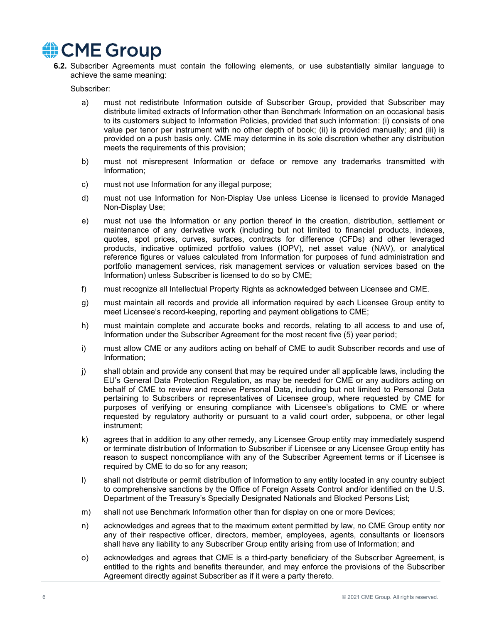

**6.2.** Subscriber Agreements must contain the following elements, or use substantially similar language to achieve the same meaning:

Subscriber:

- a) must not redistribute Information outside of Subscriber Group, provided that Subscriber may distribute limited extracts of Information other than Benchmark Information on an occasional basis to its customers subject to Information Policies, provided that such information: (i) consists of one value per tenor per instrument with no other depth of book; (ii) is provided manually; and (iii) is provided on a push basis only. CME may determine in its sole discretion whether any distribution meets the requirements of this provision;
- b) must not misrepresent Information or deface or remove any trademarks transmitted with Information;
- c) must not use Information for any illegal purpose;
- d) must not use Information for Non-Display Use unless License is licensed to provide Managed Non-Display Use;
- e) must not use the Information or any portion thereof in the creation, distribution, settlement or maintenance of any derivative work (including but not limited to financial products, indexes, quotes, spot prices, curves, surfaces, contracts for difference (CFDs) and other leveraged products, indicative optimized portfolio values (IOPV), net asset value (NAV), or analytical reference figures or values calculated from Information for purposes of fund administration and portfolio management services, risk management services or valuation services based on the Information) unless Subscriber is licensed to do so by CME;
- f) must recognize all Intellectual Property Rights as acknowledged between Licensee and CME.
- g) must maintain all records and provide all information required by each Licensee Group entity to meet Licensee's record-keeping, reporting and payment obligations to CME;
- h) must maintain complete and accurate books and records, relating to all access to and use of, Information under the Subscriber Agreement for the most recent five (5) year period;
- i) must allow CME or any auditors acting on behalf of CME to audit Subscriber records and use of Information;
- j) shall obtain and provide any consent that may be required under all applicable laws, including the EU's General Data Protection Regulation, as may be needed for CME or any auditors acting on behalf of CME to review and receive Personal Data, including but not limited to Personal Data pertaining to Subscribers or representatives of Licensee group, where requested by CME for purposes of verifying or ensuring compliance with Licensee's obligations to CME or where requested by regulatory authority or pursuant to a valid court order, subpoena, or other legal instrument;
- k) agrees that in addition to any other remedy, any Licensee Group entity may immediately suspend or terminate distribution of Information to Subscriber if Licensee or any Licensee Group entity has reason to suspect noncompliance with any of the Subscriber Agreement terms or if Licensee is required by CME to do so for any reason;
- l) shall not distribute or permit distribution of Information to any entity located in any country subject to comprehensive sanctions by the Office of Foreign Assets Control and/or identified on the U.S. Department of the Treasury's Specially Designated Nationals and Blocked Persons List;
- m) shall not use Benchmark Information other than for display on one or more Devices;
- n) acknowledges and agrees that to the maximum extent permitted by law, no CME Group entity nor any of their respective officer, directors, member, employees, agents, consultants or licensors shall have any liability to any Subscriber Group entity arising from use of Information; and
- o) acknowledges and agrees that CME is a third-party beneficiary of the Subscriber Agreement, is entitled to the rights and benefits thereunder, and may enforce the provisions of the Subscriber Agreement directly against Subscriber as if it were a party thereto.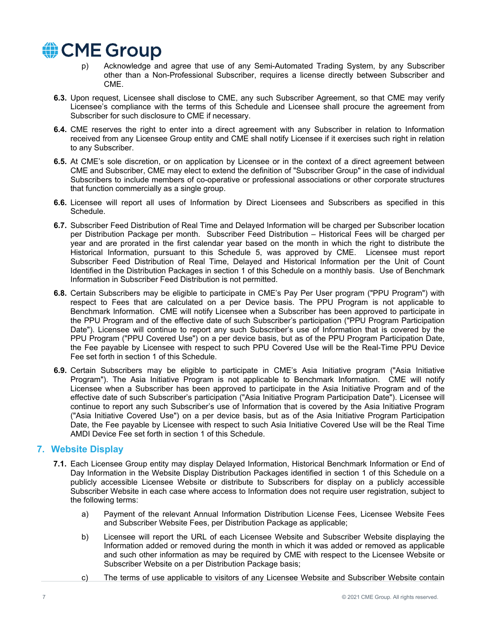

- p) Acknowledge and agree that use of any Semi-Automated Trading System, by any Subscriber other than a Non-Professional Subscriber, requires a license directly between Subscriber and CME.
- **6.3.** Upon request, Licensee shall disclose to CME, any such Subscriber Agreement, so that CME may verify Licensee's compliance with the terms of this Schedule and Licensee shall procure the agreement from Subscriber for such disclosure to CME if necessary.
- **6.4.** CME reserves the right to enter into a direct agreement with any Subscriber in relation to Information received from any Licensee Group entity and CME shall notify Licensee if it exercises such right in relation to any Subscriber.
- **6.5.** At CME's sole discretion, or on application by Licensee or in the context of a direct agreement between CME and Subscriber, CME may elect to extend the definition of "Subscriber Group" in the case of individual Subscribers to include members of co-operative or professional associations or other corporate structures that function commercially as a single group.
- **6.6.** Licensee will report all uses of Information by Direct Licensees and Subscribers as specified in this Schedule.
- **6.7.** Subscriber Feed Distribution of Real Time and Delayed Information will be charged per Subscriber location per Distribution Package per month. Subscriber Feed Distribution – Historical Fees will be charged per year and are prorated in the first calendar year based on the month in which the right to distribute the Historical Information, pursuant to this Schedule 5, was approved by CME. Licensee must report Subscriber Feed Distribution of Real Time, Delayed and Historical Information per the Unit of Count Identified in the Distribution Packages in section 1 of this Schedule on a monthly basis. Use of Benchmark Information in Subscriber Feed Distribution is not permitted.
- **6.8.** Certain Subscribers may be eligible to participate in CME's Pay Per User program ("PPU Program") with respect to Fees that are calculated on a per Device basis. The PPU Program is not applicable to Benchmark Information. CME will notify Licensee when a Subscriber has been approved to participate in the PPU Program and of the effective date of such Subscriber's participation ("PPU Program Participation Date"). Licensee will continue to report any such Subscriber's use of Information that is covered by the PPU Program ("PPU Covered Use") on a per device basis, but as of the PPU Program Participation Date, the Fee payable by Licensee with respect to such PPU Covered Use will be the Real-Time PPU Device Fee set forth in section 1 of this Schedule.
- **6.9.** Certain Subscribers may be eligible to participate in CME's Asia Initiative program ("Asia Initiative Program"). The Asia Initiative Program is not applicable to Benchmark Information. CME will notify Licensee when a Subscriber has been approved to participate in the Asia Initiative Program and of the effective date of such Subscriber's participation ("Asia Initiative Program Participation Date"). Licensee will continue to report any such Subscriber's use of Information that is covered by the Asia Initiative Program ("Asia Initiative Covered Use") on a per device basis, but as of the Asia Initiative Program Participation Date, the Fee payable by Licensee with respect to such Asia Initiative Covered Use will be the Real Time AMDI Device Fee set forth in section 1 of this Schedule.

## **7. Website Display**

- **7.1.** Each Licensee Group entity may display Delayed Information, Historical Benchmark Information or End of Day Information in the Website Display Distribution Packages identified in section 1 of this Schedule on a publicly accessible Licensee Website or distribute to Subscribers for display on a publicly accessible Subscriber Website in each case where access to Information does not require user registration, subject to the following terms:
	- a) Payment of the relevant Annual Information Distribution License Fees, Licensee Website Fees and Subscriber Website Fees, per Distribution Package as applicable;
	- b) Licensee will report the URL of each Licensee Website and Subscriber Website displaying the Information added or removed during the month in which it was added or removed as applicable and such other information as may be required by CME with respect to the Licensee Website or Subscriber Website on a per Distribution Package basis;
	- c) The terms of use applicable to visitors of any Licensee Website and Subscriber Website contain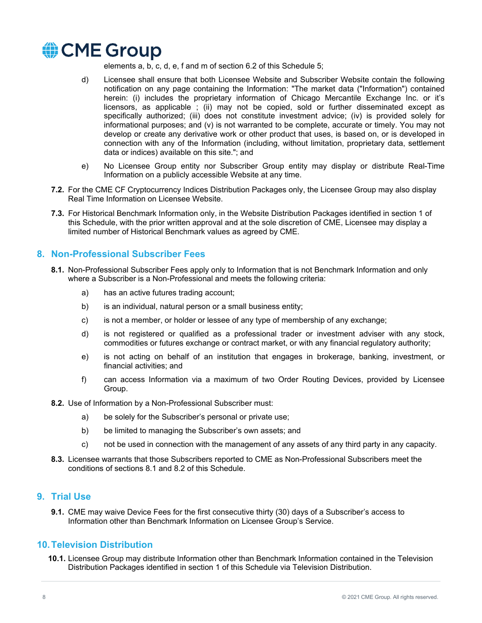

elements a, b, c, d, e, f and m of section 6.2 of this Schedule 5;

- d) Licensee shall ensure that both Licensee Website and Subscriber Website contain the following notification on any page containing the Information: "The market data ("Information") contained herein: (i) includes the proprietary information of Chicago Mercantile Exchange Inc. or it's licensors, as applicable ; (ii) may not be copied, sold or further disseminated except as specifically authorized; (iii) does not constitute investment advice; (iv) is provided solely for informational purposes; and (v) is not warranted to be complete, accurate or timely. You may not develop or create any derivative work or other product that uses, is based on, or is developed in connection with any of the Information (including, without limitation, proprietary data, settlement data or indices) available on this site."; and
- e) No Licensee Group entity nor Subscriber Group entity may display or distribute Real-Time Information on a publicly accessible Website at any time.
- **7.2.** For the CME CF Cryptocurrency Indices Distribution Packages only, the Licensee Group may also display Real Time Information on Licensee Website.
- **7.3.** For Historical Benchmark Information only, in the Website Distribution Packages identified in section 1 of this Schedule, with the prior written approval and at the sole discretion of CME, Licensee may display a limited number of Historical Benchmark values as agreed by CME.

## **8. Non-Professional Subscriber Fees**

- **8.1.** Non-Professional Subscriber Fees apply only to Information that is not Benchmark Information and only where a Subscriber is a Non-Professional and meets the following criteria:
	- a) has an active futures trading account;
	- b) is an individual, natural person or a small business entity;
	- c) is not a member, or holder or lessee of any type of membership of any exchange;
	- d) is not registered or qualified as a professional trader or investment adviser with any stock, commodities or futures exchange or contract market, or with any financial regulatory authority;
	- e) is not acting on behalf of an institution that engages in brokerage, banking, investment, or financial activities; and
	- f) can access Information via a maximum of two Order Routing Devices, provided by Licensee Group.
- **8.2.** Use of Information by a Non-Professional Subscriber must:
	- a) be solely for the Subscriber's personal or private use;
	- b) be limited to managing the Subscriber's own assets; and
	- c) not be used in connection with the management of any assets of any third party in any capacity.
- **8.3.** Licensee warrants that those Subscribers reported to CME as Non-Professional Subscribers meet the conditions of sections 8.1 and 8.2 of this Schedule.

#### **9. Trial Use**

**9.1.** CME may waive Device Fees for the first consecutive thirty (30) days of a Subscriber's access to Information other than Benchmark Information on Licensee Group's Service.

#### **10.Television Distribution**

**10.1.** Licensee Group may distribute Information other than Benchmark Information contained in the Television Distribution Packages identified in section 1 of this Schedule via Television Distribution.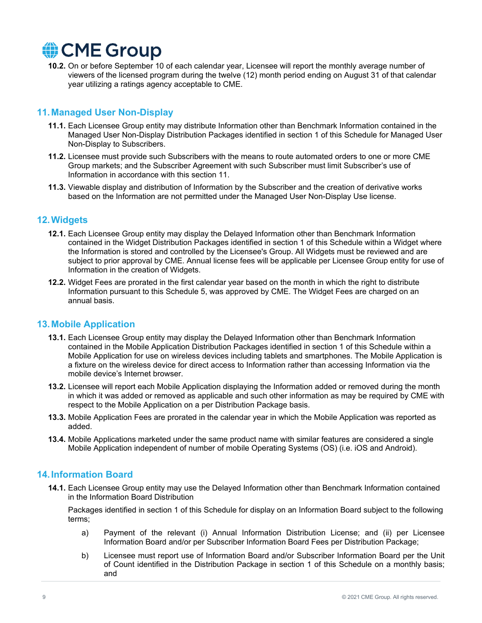

**10.2.** On or before September 10 of each calendar year, Licensee will report the monthly average number of viewers of the licensed program during the twelve (12) month period ending on August 31 of that calendar year utilizing a ratings agency acceptable to CME.

## **11.Managed User Non-Display**

- **11.1.** Each Licensee Group entity may distribute Information other than Benchmark Information contained in the Managed User Non-Display Distribution Packages identified in section 1 of this Schedule for Managed User Non-Display to Subscribers.
- **11.2.** Licensee must provide such Subscribers with the means to route automated orders to one or more CME Group markets; and the Subscriber Agreement with such Subscriber must limit Subscriber's use of Information in accordance with this section 11.
- **11.3.** Viewable display and distribution of Information by the Subscriber and the creation of derivative works based on the Information are not permitted under the Managed User Non-Display Use license.

## **12.Widgets**

- **12.1.** Each Licensee Group entity may display the Delayed Information other than Benchmark Information contained in the Widget Distribution Packages identified in section 1 of this Schedule within a Widget where the Information is stored and controlled by the Licensee's Group. All Widgets must be reviewed and are subject to prior approval by CME. Annual license fees will be applicable per Licensee Group entity for use of Information in the creation of Widgets.
- **12.2.** Widget Fees are prorated in the first calendar year based on the month in which the right to distribute Information pursuant to this Schedule 5, was approved by CME. The Widget Fees are charged on an annual basis.

## **13.Mobile Application**

- **13.1.** Each Licensee Group entity may display the Delayed Information other than Benchmark Information contained in the Mobile Application Distribution Packages identified in section 1 of this Schedule within a Mobile Application for use on wireless devices including tablets and smartphones. The Mobile Application is a fixture on the wireless device for direct access to Information rather than accessing Information via the mobile device's Internet browser.
- **13.2.** Licensee will report each Mobile Application displaying the Information added or removed during the month in which it was added or removed as applicable and such other information as may be required by CME with respect to the Mobile Application on a per Distribution Package basis.
- **13.3.** Mobile Application Fees are prorated in the calendar year in which the Mobile Application was reported as added.
- **13.4.** Mobile Applications marketed under the same product name with similar features are considered a single Mobile Application independent of number of mobile Operating Systems (OS) (i.e. iOS and Android).

## **14.Information Board**

**14.1.** Each Licensee Group entity may use the Delayed Information other than Benchmark Information contained in the Information Board Distribution

Packages identified in section 1 of this Schedule for display on an Information Board subject to the following terms;

- a) Payment of the relevant (i) Annual Information Distribution License; and (ii) per Licensee Information Board and/or per Subscriber Information Board Fees per Distribution Package;
- b) Licensee must report use of Information Board and/or Subscriber Information Board per the Unit of Count identified in the Distribution Package in section 1 of this Schedule on a monthly basis; and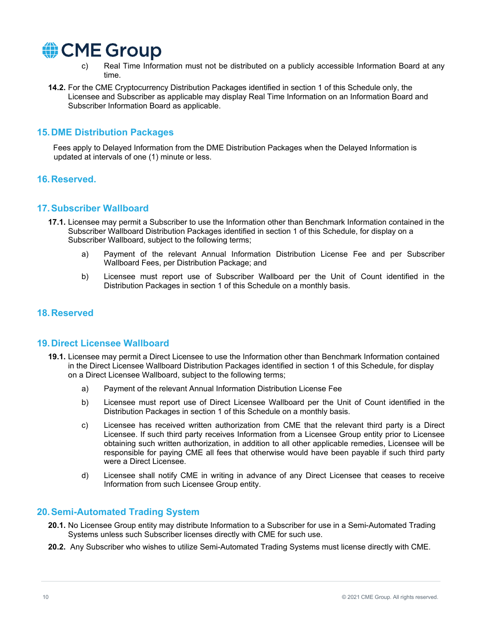

- c) Real Time Information must not be distributed on a publicly accessible Information Board at any time.
- **14.2.** For the CME Cryptocurrency Distribution Packages identified in section 1 of this Schedule only, the Licensee and Subscriber as applicable may display Real Time Information on an Information Board and Subscriber Information Board as applicable.

## **15.DME Distribution Packages**

Fees apply to Delayed Information from the DME Distribution Packages when the Delayed Information is updated at intervals of one (1) minute or less.

## **16.Reserved.**

#### **17.Subscriber Wallboard**

- **17.1.** Licensee may permit a Subscriber to use the Information other than Benchmark Information contained in the Subscriber Wallboard Distribution Packages identified in section 1 of this Schedule, for display on a Subscriber Wallboard, subject to the following terms;
	- a) Payment of the relevant Annual Information Distribution License Fee and per Subscriber Wallboard Fees, per Distribution Package; and
	- b) Licensee must report use of Subscriber Wallboard per the Unit of Count identified in the Distribution Packages in section 1 of this Schedule on a monthly basis.

## **18.Reserved**

#### **19.Direct Licensee Wallboard**

- **19.1.** Licensee may permit a Direct Licensee to use the Information other than Benchmark Information contained in the Direct Licensee Wallboard Distribution Packages identified in section 1 of this Schedule, for display on a Direct Licensee Wallboard, subject to the following terms;
	- a) Payment of the relevant Annual Information Distribution License Fee
	- b) Licensee must report use of Direct Licensee Wallboard per the Unit of Count identified in the Distribution Packages in section 1 of this Schedule on a monthly basis.
	- c) Licensee has received written authorization from CME that the relevant third party is a Direct Licensee. If such third party receives Information from a Licensee Group entity prior to Licensee obtaining such written authorization, in addition to all other applicable remedies, Licensee will be responsible for paying CME all fees that otherwise would have been payable if such third party were a Direct Licensee.
	- d) Licensee shall notify CME in writing in advance of any Direct Licensee that ceases to receive Information from such Licensee Group entity.

## **20.Semi-Automated Trading System**

- **20.1.** No Licensee Group entity may distribute Information to a Subscriber for use in a Semi-Automated Trading Systems unless such Subscriber licenses directly with CME for such use.
- **20.2.** Any Subscriber who wishes to utilize Semi-Automated Trading Systems must license directly with CME.